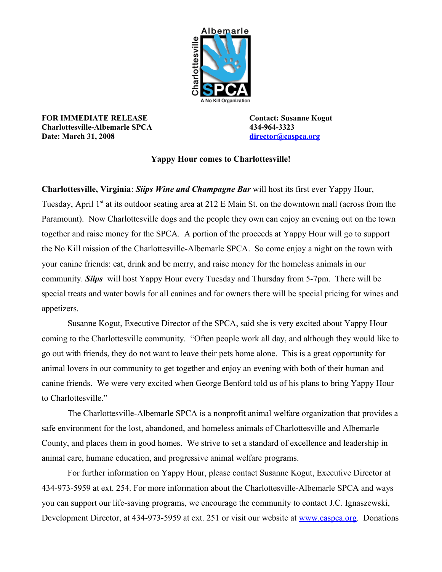

**FOR IMMEDIATE RELEASE Contact: Susanne Kogut Charlottesville-Albemarle SPCA 434-964-3323 Date: March 31, 2008 [director@caspca.org](mailto:director@caspca.org)**

**Yappy Hour comes to Charlottesville!**

**Charlottesville, Virginia**: *Siips Wine and Champagne Bar* will host its first ever Yappy Hour, Tuesday, April 1<sup>st</sup> at its outdoor seating area at 212 E Main St. on the downtown mall (across from the Paramount). Now Charlottesville dogs and the people they own can enjoy an evening out on the town together and raise money for the SPCA. A portion of the proceeds at Yappy Hour will go to support the No Kill mission of the Charlottesville-Albemarle SPCA. So come enjoy a night on the town with your canine friends: eat, drink and be merry, and raise money for the homeless animals in our community. *Siips* will host Yappy Hour every Tuesday and Thursday from 5-7pm. There will be special treats and water bowls for all canines and for owners there will be special pricing for wines and appetizers.

Susanne Kogut, Executive Director of the SPCA, said she is very excited about Yappy Hour coming to the Charlottesville community. "Often people work all day, and although they would like to go out with friends, they do not want to leave their pets home alone. This is a great opportunity for animal lovers in our community to get together and enjoy an evening with both of their human and canine friends. We were very excited when George Benford told us of his plans to bring Yappy Hour to Charlottesville."

The Charlottesville-Albemarle SPCA is a nonprofit animal welfare organization that provides a safe environment for the lost, abandoned, and homeless animals of Charlottesville and Albemarle County, and places them in good homes. We strive to set a standard of excellence and leadership in animal care, humane education, and progressive animal welfare programs.

For further information on Yappy Hour, please contact Susanne Kogut, Executive Director at 434-973-5959 at ext. 254. For more information about the Charlottesville-Albemarle SPCA and ways you can support our life-saving programs, we encourage the community to contact J.C. Ignaszewski, Development Director, at 434-973-5959 at ext. 251 or visit our website at [www.caspca.org.](http://www.caspca.org/) Donations